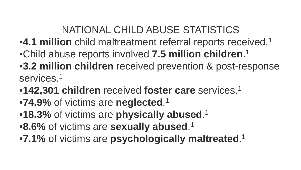# NATIONAL CHILD ABUSE STATISTICS

- •**4.1 million** child maltreatment referral reports received.1
- •Child abuse reports involved **7.5 million children**. 1
- •**3.2 million children** received prevention & post-response services.<sup>1</sup>
- •**142,301 children** received **foster care** services.1
- •**74.9%** of victims are **neglected**. 1
- •**18.3%** of victims are **physically abused**. 1
- •**8.6%** of victims are **sexually abused**. 1
- •**7.1%** of victims are **psychologically maltreated**. 1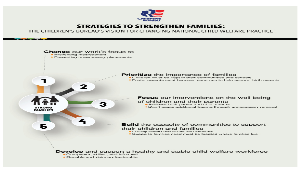

#### **STRATEGIES TO STRENGTHEN FAMILIES:**

THE CHILDREN'S BUREAU'S VISION FOR CHANGING NATIONAL CHILD WELFARE PRACTICE

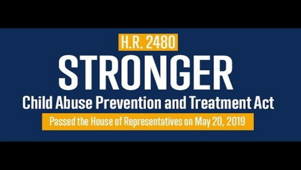# **H.R. 2480** STRONGER **Child Abuse Prevention and Treatment Act** Passed the House of Representatives on May 20, 2019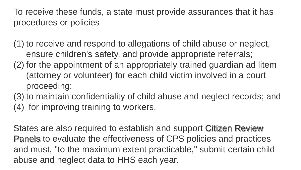To receive these funds, a state must provide assurances that it has procedures or policies

(1) to receive and respond to allegations of child abuse or neglect, ensure children's safety, and provide appropriate referrals; (2) for the appointment of an appropriately trained guardian ad litem (attorney or volunteer) for each child victim involved in a court proceeding;

(3) to maintain confidentiality of child abuse and neglect records; and (4) for improving training to workers.

States are also required to establish and support Citizen Review Panels to evaluate the effectiveness of CPS policies and practices and must, "to the maximum extent practicable," submit certain child abuse and neglect data to HHS each year.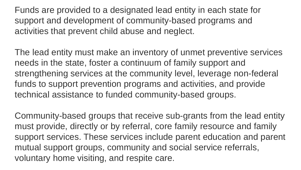Funds are provided to a designated lead entity in each state for support and development of community-based programs and activities that prevent child abuse and neglect.

The lead entity must make an inventory of unmet preventive services needs in the state, foster a continuum of family support and strengthening services at the community level, leverage non-federal funds to support prevention programs and activities, and provide technical assistance to funded community-based groups.

Community-based groups that receive sub-grants from the lead entity must provide, directly or by referral, core family resource and family support services. These services include parent education and parent mutual support groups, community and social service referrals, voluntary home visiting, and respite care.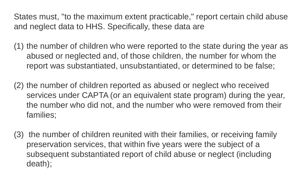States must, "to the maximum extent practicable," report certain child abuse and neglect data to HHS. Specifically, these data are

(1) the number of children who were reported to the state during the year as abused or neglected and, of those children, the number for whom the report was substantiated, unsubstantiated, or determined to be false;

(2) the number of children reported as abused or neglect who received services under CAPTA (or an equivalent state program) during the year, the number who did not, and the number who were removed from their families;

(3) the number of children reunited with their families, or receiving family preservation services, that within five years were the subject of a subsequent substantiated report of child abuse or neglect (including death);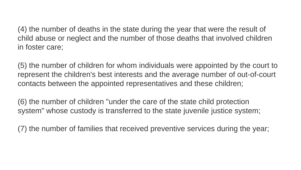(4) the number of deaths in the state during the year that were the result of child abuse or neglect and the number of those deaths that involved children in foster care;

(5) the number of children for whom individuals were appointed by the court to represent the children's best interests and the average number of out-of-court contacts between the appointed representatives and these children;

(6) the number of children "under the care of the state child protection system" whose custody is transferred to the state juvenile justice system;

(7) the number of families that received preventive services during the year;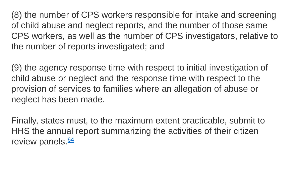(8) the number of CPS workers responsible for intake and screening of child abuse and neglect reports, and the number of those same CPS workers, as well as the number of CPS investigators, relative to the number of reports investigated; and

(9) the agency response time with respect to initial investigation of child abuse or neglect and the response time with respect to the provision of services to families where an allegation of abuse or neglect has been made.

Finally, states must, to the maximum extent practicable, submit to HHS the annual report summarizing the activities of their citizen review panels. $64$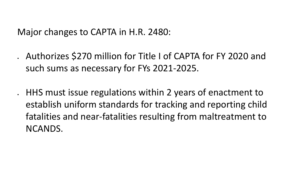Major changes to CAPTA in H.R. 2480:

- Authorizes \$270 million for Title I of CAPTA for FY 2020 and such sums as necessary for FYs 2021-2025.
- HHS must issue regulations within 2 years of enactment to establish uniform standards for tracking and reporting child fatalities and near-fatalities resulting from maltreatment to NCANDS.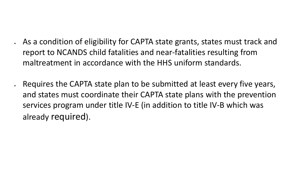- As a condition of eligibility for CAPTA state grants, states must track and report to NCANDS child fatalities and near-fatalities resulting from maltreatment in accordance with the HHS uniform standards.
- Requires the CAPTA state plan to be submitted at least every five years, and states must coordinate their CAPTA state plans with the prevention services program under title IV-E (in addition to title IV-B which was already required).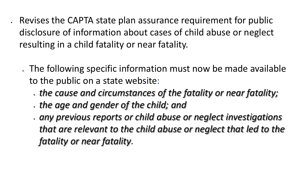• Revises the CAPTA state plan assurance requirement for public disclosure of information about cases of child abuse or neglect resulting in a child fatality or near fatality.

- . The following specific information must now be made available to the public on a state website:
	- *the cause and circumstances of the fatality or near fatality;*
	- *the age and gender of the child; and*
	- *any previous reports or child abuse or neglect investigations that are relevant to the child abuse or neglect that led to the fatality or near fatality*.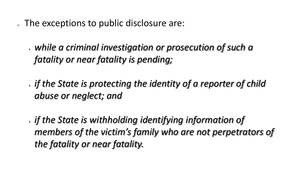- . The exceptions to public disclosure are:
	- *while a criminal investigation or prosecution of such a fatality or near fatality is pending;*
	- *if the State is protecting the identity of a reporter of child abuse or neglect; and*
	- *if the State is withholding identifying information of members of the victim's family who are not perpetrators of the fatality or near fatality.*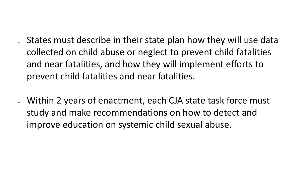• States must describe in their state plan how they will use data collected on child abuse or neglect to prevent child fatalities and near fatalities, and how they will implement efforts to prevent child fatalities and near fatalities.

• Within 2 years of enactment, each CJA state task force must study and make recommendations on how to detect and improve education on systemic child sexual abuse.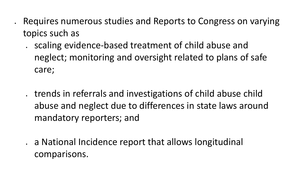- Requires numerous studies and Reports to Congress on varying topics such as
	- scaling evidence-based treatment of child abuse and neglect; monitoring and oversight related to plans of safe care;
	- trends in referrals and investigations of child abuse child abuse and neglect due to differences in state laws around mandatory reporters; and
	- a National Incidence report that allows longitudinal comparisons.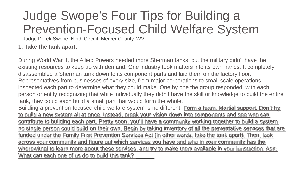# Judge Swope's Four Tips for Building a Prevention-Focused Child Welfare System

Judge Derek Swope, Ninth Circuit, Mercer County, WV

#### **1. Take the tank apart.**

During World War II, the Allied Powers needed more Sherman tanks, but the military didn't have the existing resources to keep up with demand. One industry took matters into its own hands. It completely disassembled a Sherman tank down to its component parts and laid them on the factory floor. Representatives from businesses of every size, from major corporations to small scale operations, inspected each part to determine what they could make. One by one the group responded, with each person or entity recognizing that while individually they didn't have the skill or knowledge to build the entire tank, they could each build a small part that would form the whole.

Building a prevention-focused child welfare system is no different. Form a team. Martial support. Don't try to build a new system all at once. Instead, break your vision down into components and see who can contribute to building each part. Pretty soon, you'll have a community working together to build a system no single person could build on their own. Begin by taking inventory of all the preventative services that are funded under the Family First Prevention Services Act (in other words, take the tank apart). Then, look across your community and figure out which services you have and who in your community has the wherewithal to learn more about these services, and try to make them available in your jurisdiction. Ask: What can each one of us do to build this tank?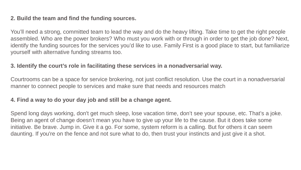#### **2. Build the team and find the funding sources.**

You'll need a strong, committed team to lead the way and do the heavy lifting. Take time to get the right people assembled. Who are the power brokers? Who must you work with or through in order to get the job done? Next, identify the funding sources for the services you'd like to use. Family First is a good place to start, but familiarize yourself with alternative funding streams too.

#### **3. Identify the court's role in facilitating these services in a nonadversarial way.**

Courtrooms can be a space for service brokering, not just conflict resolution. Use the court in a nonadversarial manner to connect people to services and make sure that needs and resources match

#### **4. Find a way to do your day job and still be a change agent.**

Spend long days working, don't get much sleep, lose vacation time, don't see your spouse, etc. That's a joke. Being an agent of change doesn't mean you have to give up your life to the cause. But it does take some initiative. Be brave. Jump in. Give it a go. For some, system reform is a calling. But for others it can seem daunting. If you're on the fence and not sure what to do, then trust your instincts and just give it a shot.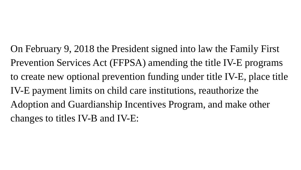On February 9, 2018 the President signed into law the Family First Prevention Services Act (FFPSA) amending the title IV-E programs to create new optional prevention funding under title IV-E, place title IV-E payment limits on child care institutions, reauthorize the Adoption and Guardianship Incentives Program, and make other changes to titles IV-B and IV-E: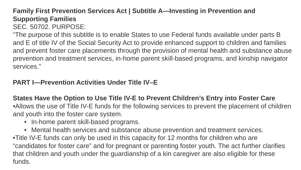#### **Family First Prevention Services Act | Subtitle A—Investing in Prevention and Supporting Families** SEC. 50702. PURPOSE:

"The purpose of this subtitle is to enable States to use Federal funds available under parts B and E of title IV of the Social Security Act to provide enhanced support to children and families and prevent foster care placements through the provision of mental health and substance abuse prevention and treatment services, in-home parent skill-based programs, and kinship navigator services."

#### **PART I—Prevention Activities Under Title IV–E**

**States Have the Option to Use Title IV-E to Prevent Children's Entry into Foster Care** •Allows the use of Title IV-E funds for the following services to prevent the placement of children and youth into the foster care system.

- In-home parent skill-based programs.
- Mental health services and substance abuse prevention and treatment services. •Title IV-E funds can only be used in this capacity for 12 months for children who are "candidates for foster care" and for pregnant or parenting foster youth. The act further clarifies that children and youth under the guardianship of a kin caregiver are also eligible for these funds.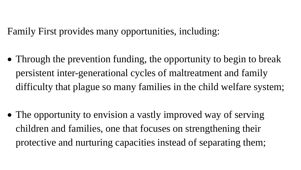Family First provides many opportunities, including:

• Through the prevention funding, the opportunity to begin to break persistent inter-generational cycles of maltreatment and family difficulty that plague so many families in the child welfare system;

• The opportunity to envision a vastly improved way of serving children and families, one that focuses on strengthening their protective and nurturing capacities instead of separating them;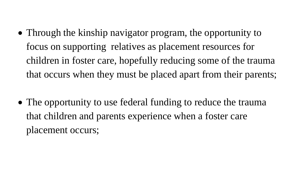- Through the kinship navigator program, the opportunity to focus on supporting relatives as placement resources for children in foster care, hopefully reducing some of the trauma that occurs when they must be placed apart from their parents;
- The opportunity to use federal funding to reduce the trauma that children and parents experience when a foster care placement occurs;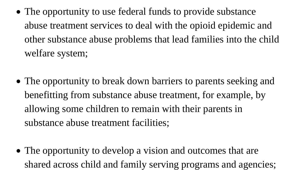- The opportunity to use federal funds to provide substance abuse treatment services to deal with the opioid epidemic and other substance abuse problems that lead families into the child welfare system;
- The opportunity to break down barriers to parents seeking and benefitting from substance abuse treatment, for example, by allowing some children to remain with their parents in substance abuse treatment facilities;
- The opportunity to develop a vision and outcomes that are shared across child and family serving programs and agencies;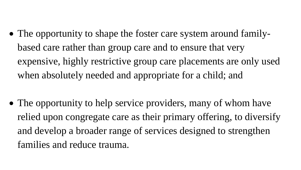- The opportunity to shape the foster care system around familybased care rather than group care and to ensure that very expensive, highly restrictive group care placements are only used when absolutely needed and appropriate for a child; and
- The opportunity to help service providers, many of whom have relied upon congregate care as their primary offering, to diversify and develop a broader range of services designed to strengthen families and reduce trauma.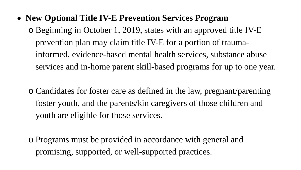• **New Optional Title IV-E Prevention Services Program** 

o Beginning in October 1, 2019, states with an approved title IV-E prevention plan may claim title IV-E for a portion of traumainformed, evidence-based mental health services, substance abuse services and in-home parent skill-based programs for up to one year.

o Candidates for foster care as defined in the law, pregnant/parenting foster youth, and the parents/kin caregivers of those children and youth are eligible for those services.

o Programs must be provided in accordance with general and promising, supported, or well-supported practices.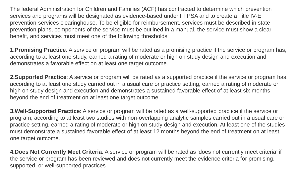The federal Administration for Children and Families (ACF) has contracted to determine which prevention services and programs will be designated as evidence-based under FFPSA and to create a Title IV-E prevention-services clearinghouse. To be eligible for reimbursement, services must be described in state prevention plans, components of the service must be outlined in a manual, the service must show a clear benefit, and services must meet one of the following thresholds:

**1.Promising Practice**: A service or program will be rated as a promising practice if the service or program has, according to at least one study, earned a rating of moderate or high on study design and execution and demonstrates a favorable effect on at least one target outcome.

**2.Supported Practice**: A service or program will be rated as a supported practice if the service or program has, according to at least one study carried out in a usual care or practice setting, earned a rating of moderate or high on study design and execution and demonstrates a sustained favorable effect of at least six months beyond the end of treatment on at least one target outcome.

**3.Well-Supported Practice**: A service or program will be rated as a well-supported practice if the service or program, according to at least two studies with non-overlapping analytic samples carried out in a usual care or practice setting, earned a rating of moderate or high on study design and execution. At least one of the studies must demonstrate a sustained favorable effect of at least 12 months beyond the end of treatment on at least one target outcome.

**4.Does Not Currently Meet Criteria**: A service or program will be rated as 'does not currently meet criteria' if the service or program has been reviewed and does not currently meet the evidence criteria for promising, supported, or well-supported practices.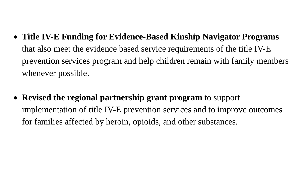- **Title IV-E Funding for Evidence-Based Kinship Navigator Programs**  that also meet the evidence based service requirements of the title IV-E prevention services program and help children remain with family members whenever possible.
- **Revised the regional partnership grant program** to support implementation of title IV-E prevention services and to improve outcomes for families affected by heroin, opioids, and other substances.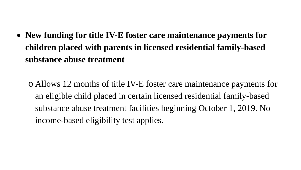• **New funding for title IV-E foster care maintenance payments for children placed with parents in licensed residential family-based substance abuse treatment** 

o Allows 12 months of title IV-E foster care maintenance payments for an eligible child placed in certain licensed residential family-based substance abuse treatment facilities beginning October 1, 2019. No income-based eligibility test applies.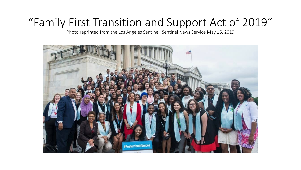# "Family First Transition and Support Act of 2019"

Photo reprinted from the Los Angeles Sentinel, Sentinel News Service May 16, 2019

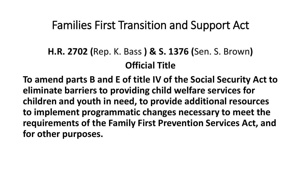## Families First Transition and Support Act

## **H.R. 2702 (**Rep. K. Bass **) & S. 1376 (**Sen. S. Brown**) Official Title**

**To amend parts B and E of title IV of the Social Security Act to eliminate barriers to providing child welfare services for children and youth in need, to provide additional resources to implement programmatic changes necessary to meet the requirements of the Family First Prevention Services Act, and for other purposes.**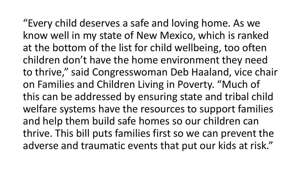"Every child deserves a safe and loving home. As we know well in my state of New Mexico, which is ranked at the bottom of the list for child wellbeing, too often children don't have the home environment they need to thrive," said Congresswoman Deb Haaland, vice chair on Families and Children Living in Poverty. "Much of this can be addressed by ensuring state and tribal child welfare systems have the resources to support families and help them build safe homes so our children can thrive. This bill puts families first so we can prevent the adverse and traumatic events that put our kids at risk."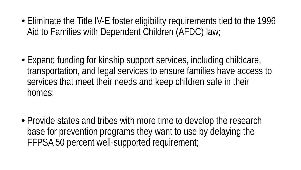• Eliminate the Title IV-E foster eligibility requirements tied to the 1996 Aid to Families with Dependent Children (AFDC) law;

- Expand funding for kinship support services, including childcare, transportation, and legal services to ensure families have access to services that meet their needs and keep children safe in their homes;
- Provide states and tribes with more time to develop the research base for prevention programs they want to use by delaying the FFPSA 50 percent well-supported requirement;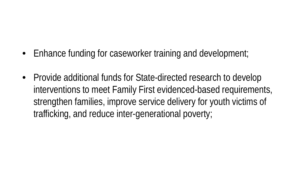- Enhance funding for caseworker training and development;
- Provide additional funds for State-directed research to develop interventions to meet Family First evidenced-based requirements, strengthen families, improve service delivery for youth victims of trafficking, and reduce inter-generational poverty;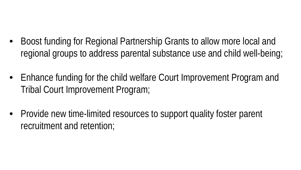- Boost funding for Regional Partnership Grants to allow more local and regional groups to address parental substance use and child well-being;
- Enhance funding for the child welfare Court Improvement Program and Tribal Court Improvement Program;
- Provide new time-limited resources to support quality foster parent recruitment and retention;